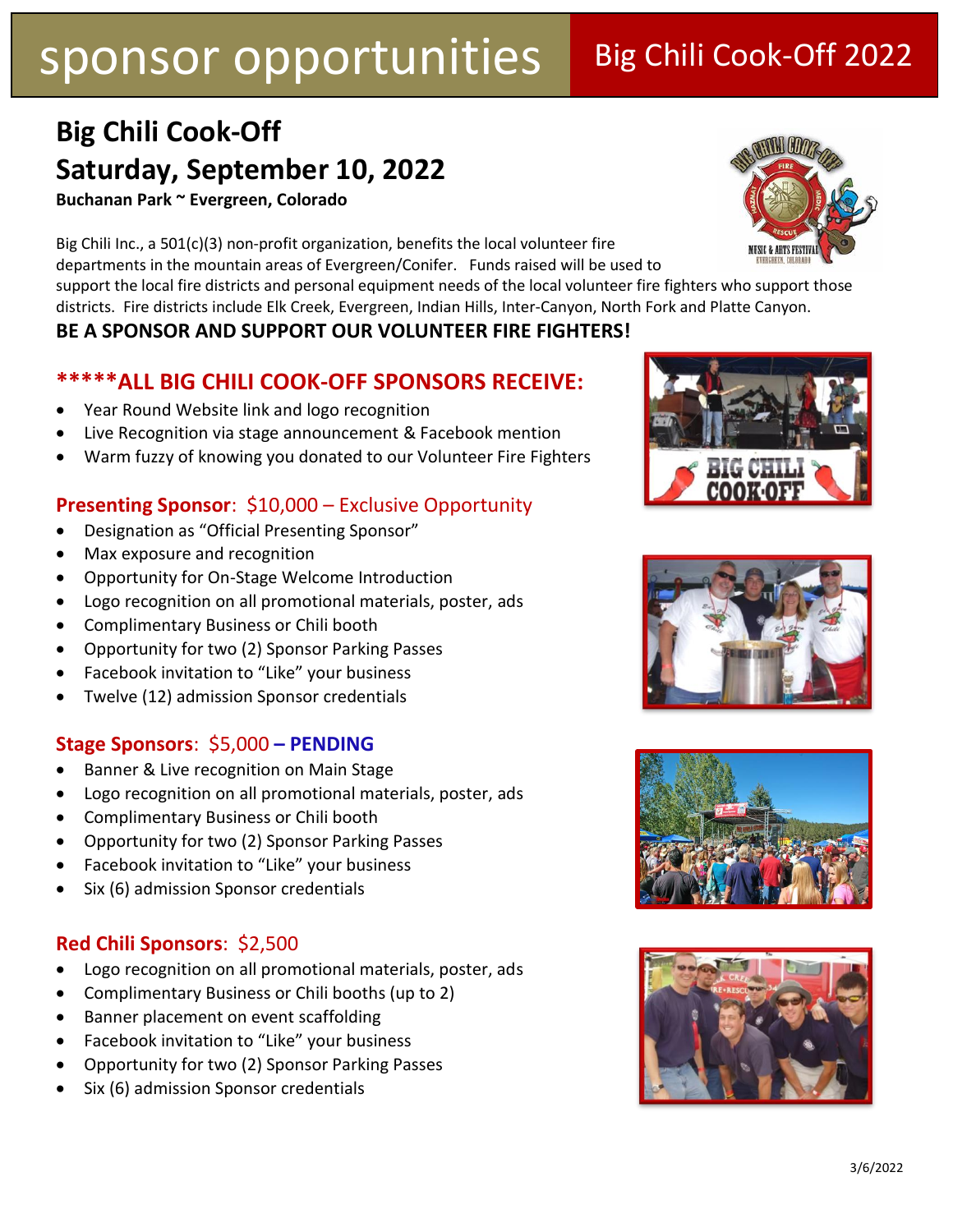## **Big Chili Cook-Off Saturday, September 10, 2022**

**Buchanan Park ~ Evergreen, Colorado**

Big Chili Inc., a 501(c)(3) non-profit organization, benefits the local volunteer fire departments in the mountain areas of Evergreen/Conifer. Funds raised will be used to

support the local fire districts and personal equipment needs of the local volunteer fire fighters who support those districts. Fire districts include Elk Creek, Evergreen, Indian Hills, Inter-Canyon, North Fork and Platte Canyon.

### **BE A SPONSOR AND SUPPORT OUR VOLUNTEER FIRE FIGHTERS!**

### **\*\*\*\*\*ALL BIG CHILI COOK-OFF SPONSORS RECEIVE:**

- Year Round Website link and logo recognition
- Live Recognition via stage announcement & Facebook mention
- Warm fuzzy of knowing you donated to our Volunteer Fire Fighters

### **Presenting Sponsor**: \$10,000 – Exclusive Opportunity

- Designation as "Official Presenting Sponsor"
- Max exposure and recognition
- Opportunity for On-Stage Welcome Introduction
- Logo recognition on all promotional materials, poster, ads
- Complimentary Business or Chili booth
- Opportunity for two (2) Sponsor Parking Passes
- Facebook invitation to "Like" your business
- Twelve (12) admission Sponsor credentials

#### **Stage Sponsors**: \$5,000 **– PENDING**

- Banner & Live recognition on Main Stage
- Logo recognition on all promotional materials, poster, ads
- Complimentary Business or Chili booth
- Opportunity for two (2) Sponsor Parking Passes
- Facebook invitation to "Like" your business
- Six (6) admission Sponsor credentials

#### **Red Chili Sponsors**: \$2,500

- Logo recognition on all promotional materials, poster, ads
- Complimentary Business or Chili booths (up to 2)
- Banner placement on event scaffolding
- Facebook invitation to "Like" your business
- Opportunity for two (2) Sponsor Parking Passes
- Six (6) admission Sponsor credentials









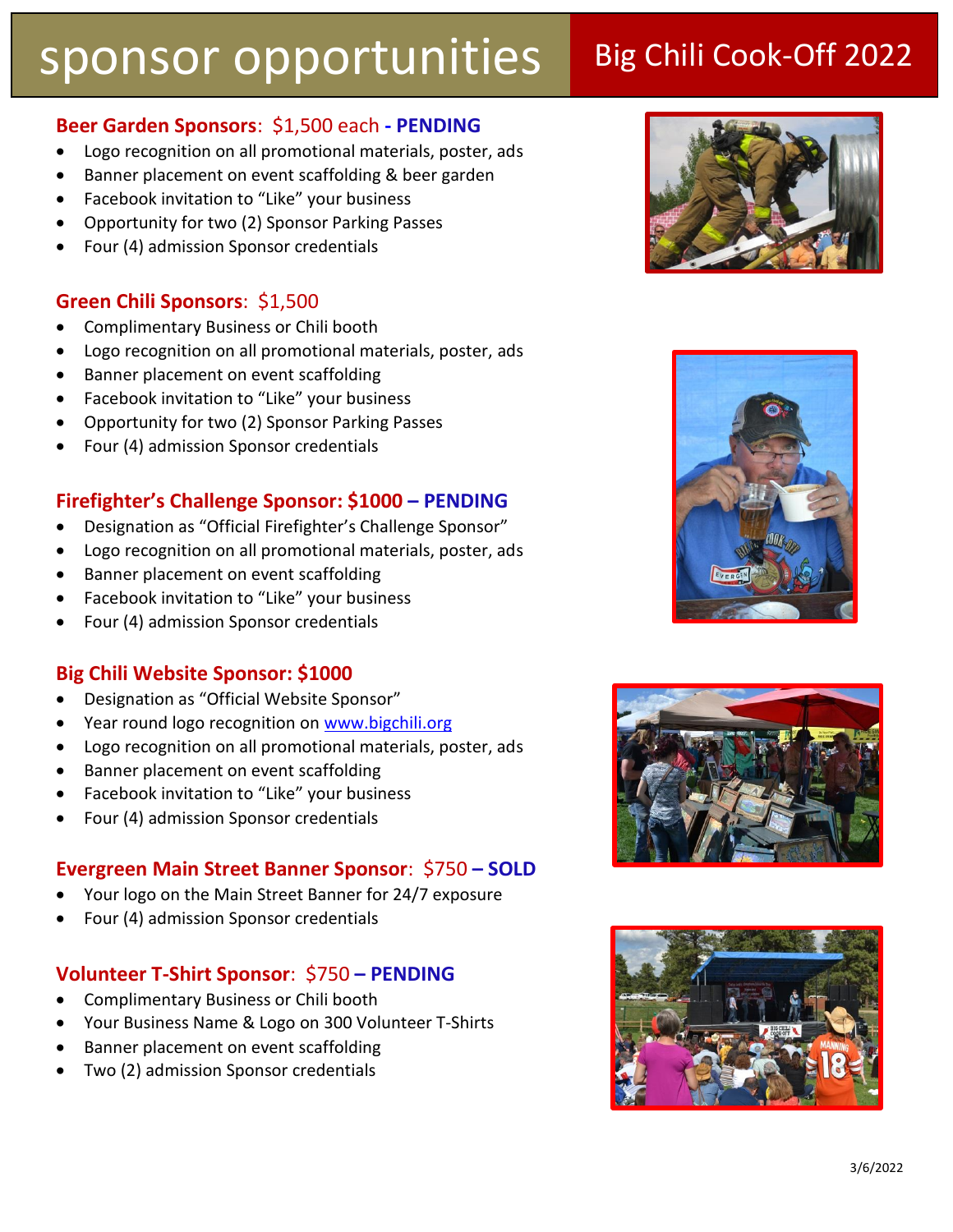### **Beer Garden Sponsors**: \$1,500 each **- PENDING**

- Logo recognition on all promotional materials, poster, ads
- Banner placement on event scaffolding & beer garden
- Facebook invitation to "Like" your business
- Opportunity for two (2) Sponsor Parking Passes
- Four (4) admission Sponsor credentials

#### **Green Chili Sponsors**: \$1,500

- Complimentary Business or Chili booth
- Logo recognition on all promotional materials, poster, ads
- Banner placement on event scaffolding
- Facebook invitation to "Like" your business
- Opportunity for two (2) Sponsor Parking Passes
- Four (4) admission Sponsor credentials

#### **Firefighter's Challenge Sponsor: \$1000 – PENDING**

- Designation as "Official Firefighter's Challenge Sponsor"
- Logo recognition on all promotional materials, poster, ads
- Banner placement on event scaffolding
- Facebook invitation to "Like" your business
- Four (4) admission Sponsor credentials

#### **Big Chili Website Sponsor: \$1000**

- Designation as "Official Website Sponsor"
- Year round logo recognition on [www.bigchili.org](http://www.bigchili.org/)
- Logo recognition on all promotional materials, poster, ads
- Banner placement on event scaffolding
- Facebook invitation to "Like" your business
- Four (4) admission Sponsor credentials

#### **Evergreen Main Street Banner Sponsor**: \$750 **– SOLD**

- Your logo on the Main Street Banner for 24/7 exposure
- Four (4) admission Sponsor credentials

#### **Volunteer T-Shirt Sponsor**: \$750 **– PENDING**

- Complimentary Business or Chili booth
- Your Business Name & Logo on 300 Volunteer T-Shirts
- Banner placement on event scaffolding
- Two (2) admission Sponsor credentials







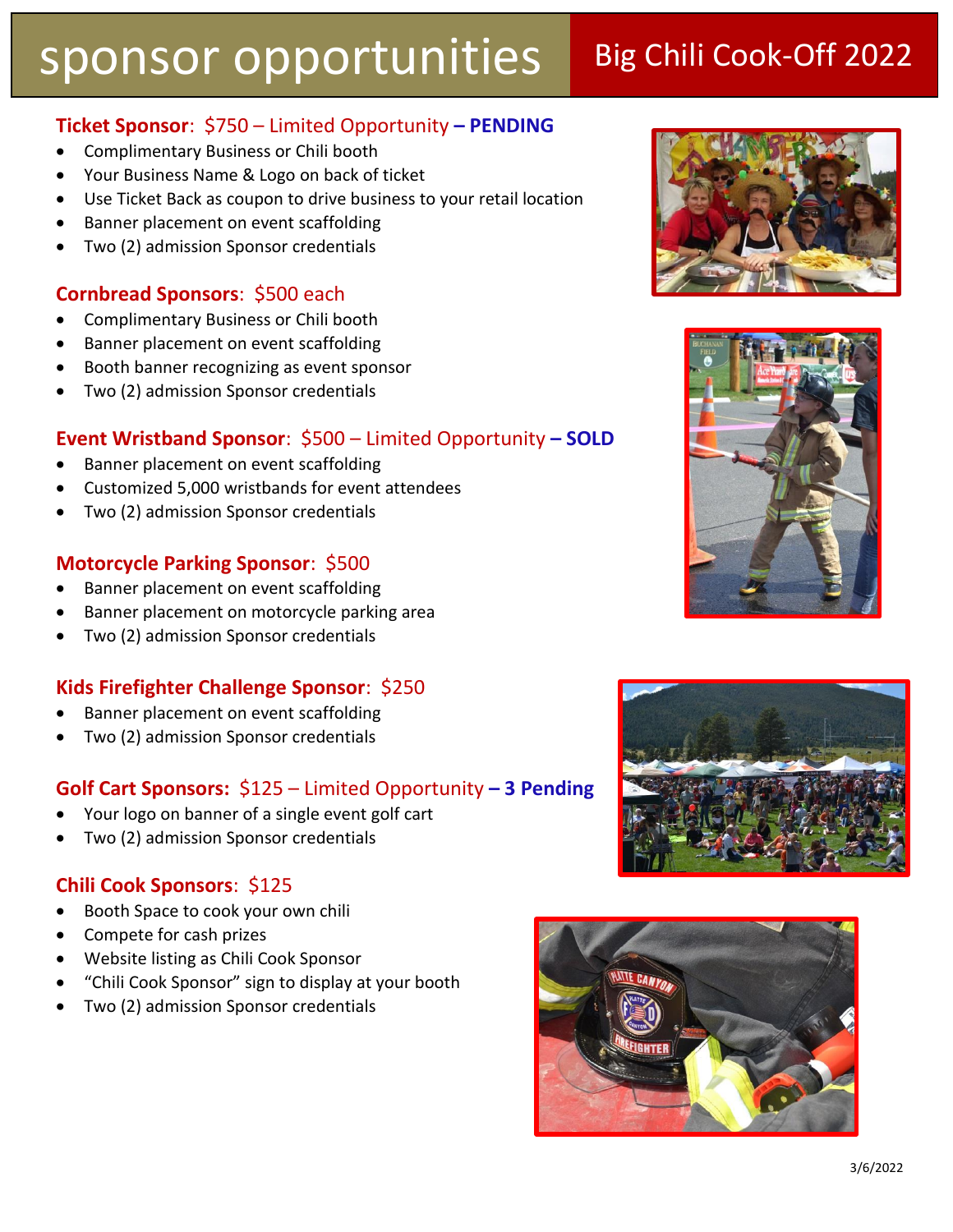### **Ticket Sponsor**: \$750 – Limited Opportunity **– PENDING**

- Complimentary Business or Chili booth
- Your Business Name & Logo on back of ticket
- Use Ticket Back as coupon to drive business to your retail location
- Banner placement on event scaffolding
- Two (2) admission Sponsor credentials

#### **Cornbread Sponsors**: \$500 each

- Complimentary Business or Chili booth
- Banner placement on event scaffolding
- Booth banner recognizing as event sponsor
- Two (2) admission Sponsor credentials

#### **Event Wristband Sponsor**: \$500 – Limited Opportunity **– SOLD**

- Banner placement on event scaffolding
- Customized 5,000 wristbands for event attendees
- Two (2) admission Sponsor credentials

#### **Motorcycle Parking Sponsor**: \$500

- Banner placement on event scaffolding
- Banner placement on motorcycle parking area
- Two (2) admission Sponsor credentials

#### **Kids Firefighter Challenge Sponsor**: \$250

- Banner placement on event scaffolding
- Two (2) admission Sponsor credentials

#### **Golf Cart Sponsors:** \$125 – Limited Opportunity **– 3 Pending**

- Your logo on banner of a single event golf cart
- Two (2) admission Sponsor credentials

#### **Chili Cook Sponsors**: \$125

- Booth Space to cook your own chili
- Compete for cash prizes
- Website listing as Chili Cook Sponsor
- "Chili Cook Sponsor" sign to display at your booth
- Two (2) admission Sponsor credentials